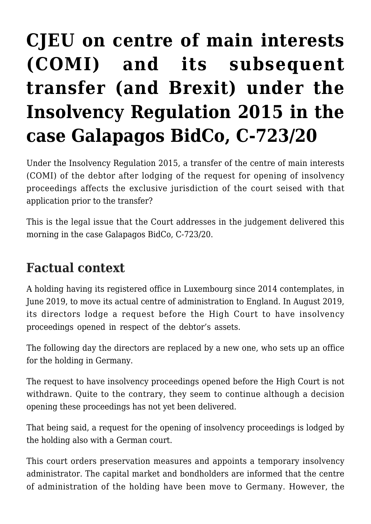## **[CJEU on centre of main interests](https://conflictoflaws.net/2022/cjeu-on-centre-of-main-interests-comi-and-its-subsequent-transfer-and-brexit-under-the-insolvency-regulation-2015-in-the-case-galapagos-c-723-20/) [\(COMI\) and its subsequent](https://conflictoflaws.net/2022/cjeu-on-centre-of-main-interests-comi-and-its-subsequent-transfer-and-brexit-under-the-insolvency-regulation-2015-in-the-case-galapagos-c-723-20/) [transfer \(and Brexit\) under the](https://conflictoflaws.net/2022/cjeu-on-centre-of-main-interests-comi-and-its-subsequent-transfer-and-brexit-under-the-insolvency-regulation-2015-in-the-case-galapagos-c-723-20/) [Insolvency Regulation 2015 in the](https://conflictoflaws.net/2022/cjeu-on-centre-of-main-interests-comi-and-its-subsequent-transfer-and-brexit-under-the-insolvency-regulation-2015-in-the-case-galapagos-c-723-20/) [case Galapagos BidCo, C-723/20](https://conflictoflaws.net/2022/cjeu-on-centre-of-main-interests-comi-and-its-subsequent-transfer-and-brexit-under-the-insolvency-regulation-2015-in-the-case-galapagos-c-723-20/)**

Under the Insolvency Regulation 2015, a transfer of the centre of main interests (COMI) of the debtor after lodging of the request for opening of insolvency proceedings affects the exclusive jurisdiction of the court seised with that application prior to the transfer?

This is the legal issue that the Court addresses in the judgement delivered this morning in the case Galapagos BidCo, C-723/20.

## **Factual context**

A holding having its registered office in Luxembourg since 2014 contemplates, in June 2019, to move its actual centre of administration to England. In August 2019, its directors lodge a request before the High Court to have insolvency proceedings opened in respect of the debtor's assets.

The following day the directors are replaced by a new one, who sets up an office for the holding in Germany.

The request to have insolvency proceedings opened before the High Court is not withdrawn. Quite to the contrary, they seem to continue although a decision opening these proceedings has not yet been delivered.

That being said, a request for the opening of insolvency proceedings is lodged by the holding also with a German court.

This court orders preservation measures and appoints a temporary insolvency administrator. The capital market and bondholders are informed that the centre of administration of the holding have been move to Germany. However, the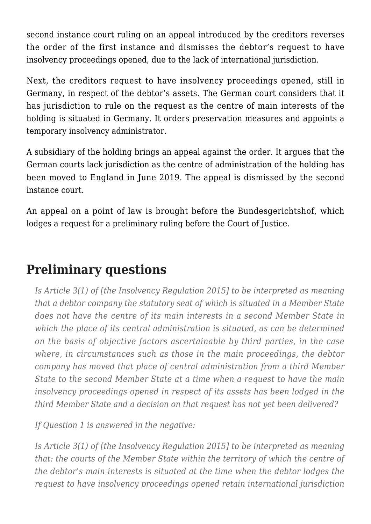second instance court ruling on an appeal introduced by the creditors reverses the order of the first instance and dismisses the debtor's request to have insolvency proceedings opened, due to the lack of international jurisdiction.

Next, the creditors request to have insolvency proceedings opened, still in Germany, in respect of the debtor's assets. The German court considers that it has jurisdiction to rule on the request as the centre of main interests of the holding is situated in Germany. It orders preservation measures and appoints a temporary insolvency administrator.

A subsidiary of the holding brings an appeal against the order. It argues that the German courts lack jurisdiction as the centre of administration of the holding has been moved to England in June 2019. The appeal is dismissed by the second instance court.

An appeal on a point of law is brought before the Bundesgerichtshof, which lodges a request for a preliminary ruling before the Court of Justice.

## **Preliminary questions**

*Is Article 3(1) of [the Insolvency Regulation 2015] to be interpreted as meaning that a debtor company the statutory seat of which is situated in a Member State does not have the centre of its main interests in a second Member State in which the place of its central administration is situated, as can be determined on the basis of objective factors ascertainable by third parties, in the case where, in circumstances such as those in the main proceedings, the debtor company has moved that place of central administration from a third Member State to the second Member State at a time when a request to have the main insolvency proceedings opened in respect of its assets has been lodged in the third Member State and a decision on that request has not yet been delivered?*

*If Question 1 is answered in the negative:*

*Is Article 3(1) of [the Insolvency Regulation 2015] to be interpreted as meaning that: the courts of the Member State within the territory of which the centre of the debtor's main interests is situated at the time when the debtor lodges the request to have insolvency proceedings opened retain international jurisdiction*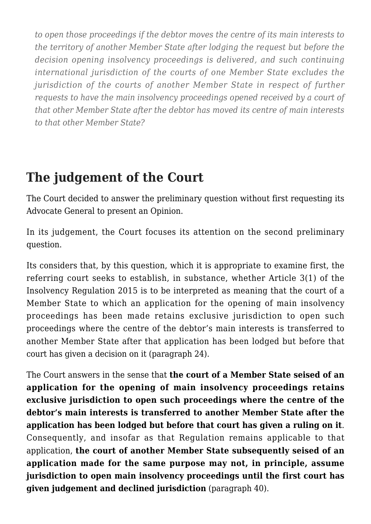*to open those proceedings if the debtor moves the centre of its main interests to the territory of another Member State after lodging the request but before the decision opening insolvency proceedings is delivered, and such continuing international jurisdiction of the courts of one Member State excludes the jurisdiction of the courts of another Member State in respect of further requests to have the main insolvency proceedings opened received by a court of that other Member State after the debtor has moved its centre of main interests to that other Member State?*

## **The judgement of the Court**

The Court decided to answer the preliminary question without first requesting its Advocate General to present an Opinion.

In its judgement, the Court focuses its attention on the second preliminary question.

Its considers that, by this question, which it is appropriate to examine first, the referring court seeks to establish, in substance, whether Article 3(1) of the Insolvency Regulation 2015 is to be interpreted as meaning that the court of a Member State to which an application for the opening of main insolvency proceedings has been made retains exclusive jurisdiction to open such proceedings where the centre of the debtor's main interests is transferred to another Member State after that application has been lodged but before that court has given a decision on it (paragraph 24).

The Court answers in the sense that **the court of a Member State seised of an application for the opening of main insolvency proceedings retains exclusive jurisdiction to open such proceedings where the centre of the debtor's main interests is transferred to another Member State after the application has been lodged but before that court has given a ruling on it**. Consequently, and insofar as that Regulation remains applicable to that application, **the court of another Member State subsequently seised of an application made for the same purpose may not, in principle, assume jurisdiction to open main insolvency proceedings until the first court has given judgement and declined jurisdiction** (paragraph 40).